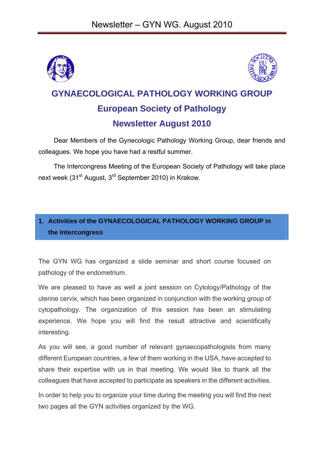



# **GYNAECOLOGICAL PATHOLOGY WORKING GROUP European Society of Pathology Newsletter August 2010**

Dear Members of the Gynecologic Pathology Working Group, dear friends and colleagues. We hope you have had a restful summer.

The Intercongress Meeting of the European Society of Pathology will take place next week (31<sup>st</sup> August, 3<sup>rd</sup> September 2010) in Krakow.

## **1. Activities of the GYNAECOLOGICAL PATHOLOGY WORKING GROUP in the Intercongress**

The GYN WG has organized a slide seminar and short course focused on pathology of the endometrium.

We are pleased to have as well a joint session on Cytology/Pathology of the uterine cervix, which has been organized in conjunction with the working group of cytopathology. The organization of this session has been an stimulating experience. We hope you will find the result attractive and scientifically interesting.

As you will see, a good number of relevant gynaecopathologists from many different European countries, a few of them working in the USA, have accepted to share their expertise with us in that meeting. We would like to thank all the colleagues that have accepted to participate as speakers in the different activities. In order to help you to organize your time during the meeting you will find the next

two pages all the GYN activities organized by the WG.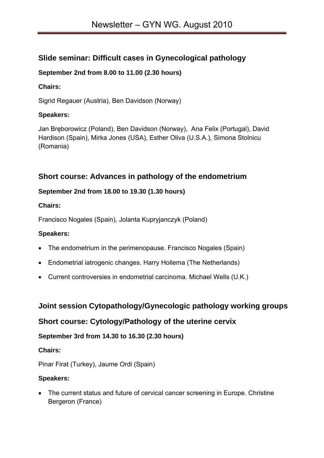## **Slide seminar: Difficult cases in Gynecological pathology**

#### **September 2nd from 8.00 to 11.00 (2.30 hours)**

#### **Chairs:**

Sigrid Regauer (Austria), Ben Davidson (Norway)

#### **Speakers:**

Jan Bręborowicz (Poland), Ben Davidson (Norway), Ana Felix (Portugal), David Hardison (Spain), Mirka Jones (USA), Esther Oliva (U.S.A.), Simona Stolnicu (Romania)

## **Short course: Advances in pathology of the endometrium**

#### **September 2nd from 18.00 to 19.30 (1.30 hours)**

#### **Chairs:**

Francisco Nogales (Spain), Jolanta Kupryjanczyk (Poland)

#### **Speakers:**

- The endometrium in the perimenopause. Francisco Nogales (Spain)
- Endometrial iatrogenic changes. Harry Hollema (The Netherlands)
- Current controversies in endometrial carcinoma. Michael Wells (U.K.)

## **Joint session Cytopathology/Gynecologic pathology working groups**

## **Short course: Cytology/Pathology of the uterine cervix**

### **September 3rd from 14.30 to 16.30 (2.30 hours)**

#### **Chairs:**

Pinar Firat (Turkey), Jaume Ordi (Spain)

#### **Speakers:**

• The current status and future of cervical cancer screening in Europe. Christine Bergeron (France)